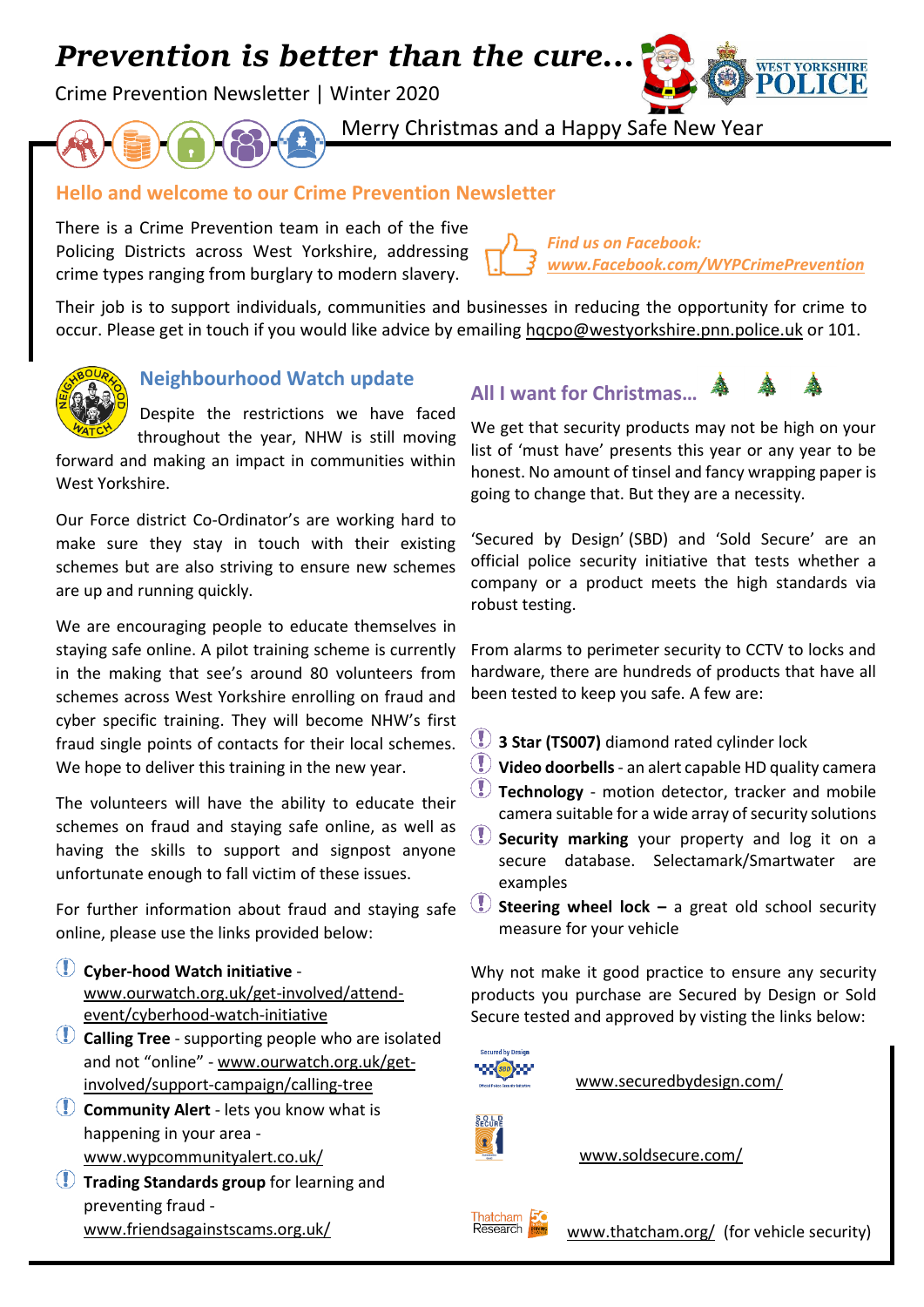# *Prevention is better than the cure…*

Crime Prevention Newsletter | Winter 2020



Merry Christmas and a Happy Safe New Year

# **Hello and welcome to our Crime Prevention Newsletter**

There is a Crime Prevention team in each of the five Policing Districts across West Yorkshire, addressing crime types ranging from burglary to modern slavery.

*Find us on Facebook: [www.Facebook.com/WYPCrimePrevention](http://www.facebook.com/WYPCrimePrevention)*

Their job is to support individuals, communities and businesses in reducing the opportunity for crime to occur. Please get in touch if you would like advice by emailing [hqcpo@westyorkshire.pnn.police.uk](mailto:hqcpo@westyorkshire.pnn.police.uk) or 101.



West Yorkshire.

## **Neighbourhood Watch update**

Despite the restrictions we have faced throughout the year, NHW is still moving forward and making an impact in communities within

Our Force district Co-Ordinator's are working hard to make sure they stay in touch with their existing schemes but are also striving to ensure new schemes are up and running quickly.

We are encouraging people to educate themselves in staying safe online. A pilot training scheme is currently in the making that see's around 80 volunteers from schemes across West Yorkshire enrolling on fraud and cyber specific training. They will become NHW's first fraud single points of contacts for their local schemes. We hope to deliver this training in the new year.

The volunteers will have the ability to educate their schemes on fraud and staying safe online, as well as having the skills to support and signpost anyone unfortunate enough to fall victim of these issues.

For further information about fraud and staying safe online, please use the links provided below:

- **Cyber-hood Watch initiative** [www.ourwatch.org.uk/get-involved/attend](http://www.ourwatch.org.uk/get-involved/attend-event/cyberhood-watch-initiative)[event/cyberhood-watch-initiative](http://www.ourwatch.org.uk/get-involved/attend-event/cyberhood-watch-initiative)
- **Calling Tree** supporting people who are isolated and not "online" - [www.ourwatch.org.uk/get](http://www.ourwatch.org.uk/get-involved/support-campaign/calling-tree)[involved/support-campaign/calling-tree](http://www.ourwatch.org.uk/get-involved/support-campaign/calling-tree)
- **Community Alert** lets you know what is happening in your area [www.wypcommunityalert.co.uk/](http://www.wypcommunityalert.co.uk/)
- **Trading Standards group** for learning and preventing fraud [www.friendsagainstscams.org.uk/](http://www.friendsagainstscams.org.uk/)

**All I want for Christmas…**

We get that security products may not be high on your list of 'must have' presents this year or any year to be honest. No amount of tinsel and fancy wrapping paper is going to change that. But they are a necessity.

'Secured by Design' (SBD) and 'Sold Secure' are an official police security initiative that tests whether a company or a product meets the high standards via robust testing.

From alarms to perimeter security to CCTV to locks and hardware, there are hundreds of products that have all been tested to keep you safe. A few are:

- **3 Star (TS007)** diamond rated cylinder lock
- **Video doorbells** an alert capable HD quality camera
- **Technology** motion detector, tracker and mobile camera suitable for a wide array of security solutions
- **Security marking** your property and log it on a secure database. Selectamark/Smartwater are examples
- **Steering wheel lock –** a great old school security measure for your vehicle

Why not make it good practice to ensure any security products you purchase are Secured by Design or Sold Secure tested and approved by visting the links below:



[www.securedbydesign.com/](http://www.securedbydesign.com/)



[www.soldsecure.com/](http://www.soldsecure.com/)



[www.thatcham.org/](http://www.thatcham.org/) (for vehicle security)